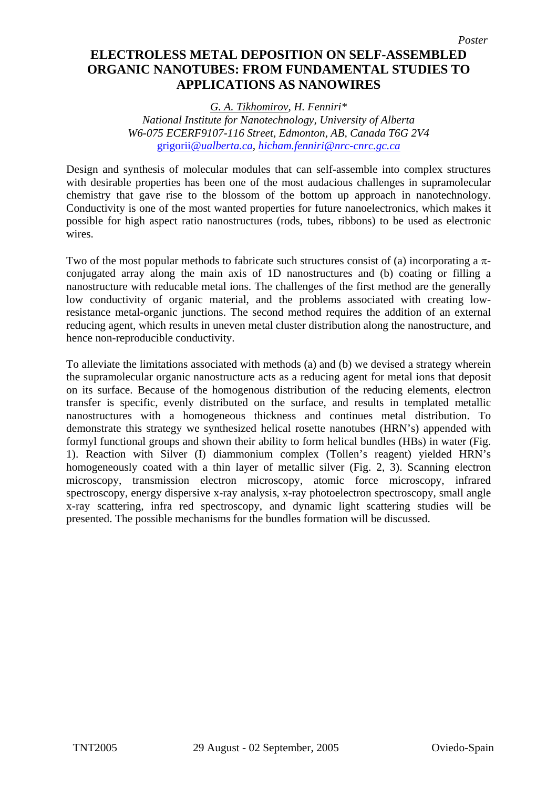## **ELECTROLESS METAL DEPOSITION ON SELF-ASSEMBLED ORGANIC NANOTUBES: FROM FUNDAMENTAL STUDIES TO APPLICATIONS AS NANOWIRES**

*G. A. Tikhomirov, H. Fenniri\* National Institute for Nanotechnology, University of Alberta W6-075 ECERF9107-116 Street, Edmonton, AB, Canada T6G 2V4*  grigorii*[@ualberta.ca](mailto:grigorii@ualberta.ca), [hicham.fenniri@nrc-cnrc.gc.ca](mailto:hicham.fenniri@nrc-cnrc.gc.ca)* 

Design and synthesis of molecular modules that can self-assemble into complex structures with desirable properties has been one of the most audacious challenges in supramolecular chemistry that gave rise to the blossom of the bottom up approach in nanotechnology. Conductivity is one of the most wanted properties for future nanoelectronics, which makes it possible for high aspect ratio nanostructures (rods, tubes, ribbons) to be used as electronic wires.

Two of the most popular methods to fabricate such structures consist of (a) incorporating a  $\pi$ conjugated array along the main axis of 1D nanostructures and (b) coating or filling a nanostructure with reducable metal ions. The challenges of the first method are the generally low conductivity of organic material, and the problems associated with creating lowresistance metal-organic junctions. The second method requires the addition of an external reducing agent, which results in uneven metal cluster distribution along the nanostructure, and hence non-reproducible conductivity.

To alleviate the limitations associated with methods (a) and (b) we devised a strategy wherein the supramolecular organic nanostructure acts as a reducing agent for metal ions that deposit on its surface. Because of the homogenous distribution of the reducing elements, electron transfer is specific, evenly distributed on the surface, and results in templated metallic nanostructures with a homogeneous thickness and continues metal distribution. To demonstrate this strategy we synthesized helical rosette nanotubes (HRN's) appended with formyl functional groups and shown their ability to form helical bundles (HBs) in water (Fig. 1). Reaction with Silver (I) diammonium complex (Tollen's reagent) yielded HRN's homogeneously coated with a thin layer of metallic silver (Fig. 2, 3). Scanning electron microscopy, transmission electron microscopy, atomic force microscopy, infrared spectroscopy, energy dispersive x-ray analysis, x-ray photoelectron spectroscopy, small angle x-ray scattering, infra red spectroscopy, and dynamic light scattering studies will be presented. The possible mechanisms for the bundles formation will be discussed.